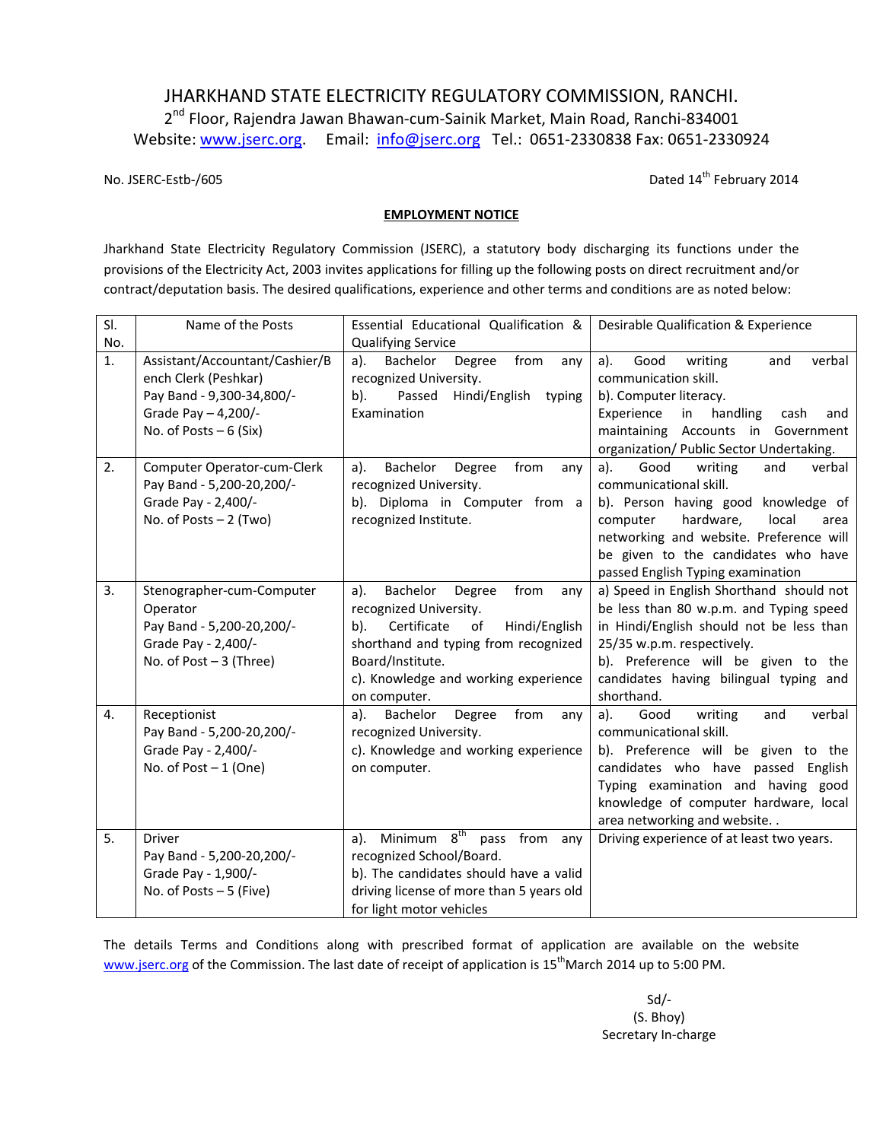# JHARKHAND STATE ELECTRICITY REGULATORY COMMISSION, RANCHI.

2<sup>nd</sup> Floor, Rajendra Jawan Bhawan-cum-Sainik Market, Main Road, Ranchi-834001 Website: www.jserc.org. Email: info@jserc.org Tel.: 0651-2330838 Fax: 0651-2330924

No. JSERC-Estb-/605 Dated 14<sup>th</sup> February 2014

#### **EMPLOYMENT NOTICE**

Jharkhand State Electricity Regulatory Commission (JSERC), a statutory body discharging its functions under the provisions of the Electricity Act, 2003 invites applications for filling up the following posts on direct recruitment and/or contract/deputation basis. The desired qualifications, experience and other terms and conditions are as noted below:

| SI.      | Name of the Posts                                                                                                                                                    | Essential Educational Qualification &                                                                                                                                                                                               | Desirable Qualification & Experience                                                                                                                                                                                                                                  |
|----------|----------------------------------------------------------------------------------------------------------------------------------------------------------------------|-------------------------------------------------------------------------------------------------------------------------------------------------------------------------------------------------------------------------------------|-----------------------------------------------------------------------------------------------------------------------------------------------------------------------------------------------------------------------------------------------------------------------|
| No.      |                                                                                                                                                                      | <b>Qualifying Service</b>                                                                                                                                                                                                           |                                                                                                                                                                                                                                                                       |
| 1.<br>2. | Assistant/Accountant/Cashier/B<br>ench Clerk (Peshkar)<br>Pay Band - 9,300-34,800/-<br>Grade Pay - 4,200/-<br>No. of Posts $-6$ (Six)<br>Computer Operator-cum-Clerk | Degree<br>Bachelor<br>from<br>a).<br>any<br>recognized University.<br>Hindi/English<br>b).<br>Passed<br>typing<br>Examination<br>Bachelor<br>a).<br>Degree<br>from<br>any                                                           | Good<br>writing<br>verbal<br>a).<br>and<br>communication skill.<br>b). Computer literacy.<br>Experience<br>handling<br>in<br>cash<br>and<br>maintaining Accounts in Government<br>organization/ Public Sector Undertaking.<br>a).<br>Good<br>writing<br>verbal<br>and |
|          | Pay Band - 5,200-20,200/-<br>Grade Pay - 2,400/-<br>No. of Posts $-2$ (Two)                                                                                          | recognized University.<br>b). Diploma in Computer from a<br>recognized Institute.                                                                                                                                                   | communicational skill.<br>b). Person having good<br>knowledge of<br>hardware,<br>local<br>computer<br>area<br>networking and website. Preference will<br>be given to the candidates who have<br>passed English Typing examination                                     |
| 3.       | Stenographer-cum-Computer<br>Operator<br>Pay Band - 5,200-20,200/-<br>Grade Pay - 2,400/-<br>No. of Post $-3$ (Three)                                                | Bachelor<br>Degree<br>from<br>a).<br>any<br>recognized University.<br>Certificate<br>of<br>Hindi/English<br>b).<br>shorthand and typing from recognized<br>Board/Institute.<br>c). Knowledge and working experience<br>on computer. | a) Speed in English Shorthand should not<br>be less than 80 w.p.m. and Typing speed<br>in Hindi/English should not be less than<br>25/35 w.p.m. respectively.<br>b). Preference will be given to the<br>candidates having bilingual typing and<br>shorthand.          |
| 4.       | Receptionist<br>Pay Band - 5,200-20,200/-<br>Grade Pay - 2,400/-<br>No. of Post $-1$ (One)                                                                           | Bachelor<br>Degree<br>from<br>a).<br>any<br>recognized University.<br>c). Knowledge and working experience<br>on computer.                                                                                                          | Good<br>writing<br>verbal<br>a).<br>and<br>communicational skill.<br>b). Preference will be given to the<br>candidates who have passed English<br>Typing examination and having good<br>knowledge of computer hardware, local<br>area networking and website          |
| 5.       | <b>Driver</b><br>Pay Band - 5,200-20,200/-<br>Grade Pay - 1,900/-<br>No. of Posts $-5$ (Five)                                                                        | 8 <sup>th</sup><br>Minimum<br>from<br>a).<br>pass<br>any<br>recognized School/Board.<br>b). The candidates should have a valid<br>driving license of more than 5 years old<br>for light motor vehicles                              | Driving experience of at least two years.                                                                                                                                                                                                                             |

The details Terms and Conditions along with prescribed format of application are available on the website www.jserc.org of the Commission. The last date of receipt of application is 15<sup>th</sup>March 2014 up to 5:00 PM.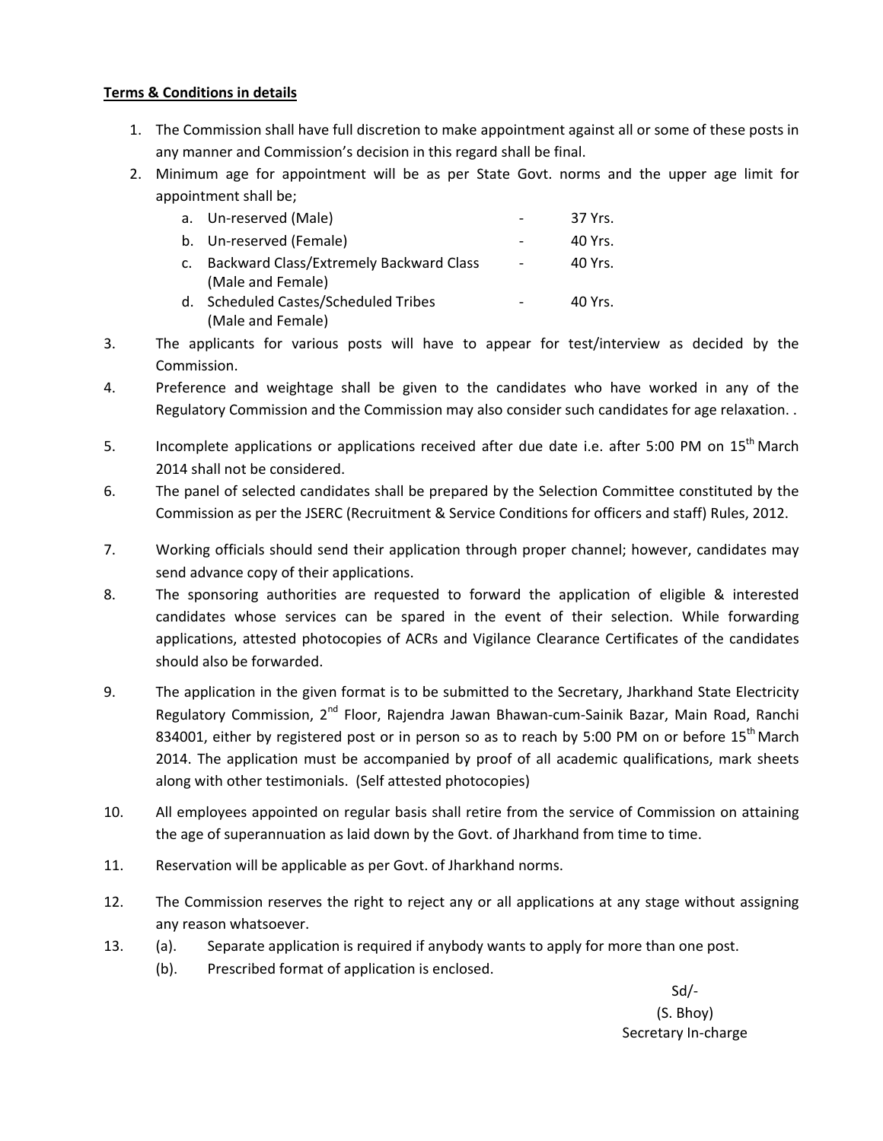### **Terms & Conditions in details**

- 1. The Commission shall have full discretion to make appointment against all or some of these posts in any manner and Commission's decision in this regard shall be final.
- 2. Minimum age for appointment will be as per State Govt. norms and the upper age limit for appointment shall be;

|                | a. Un-reserved (Male)                    | 37 Yrs. |
|----------------|------------------------------------------|---------|
|                | b. Un-reserved (Female)                  | 40 Yrs. |
| $\mathsf{C}$ . | Backward Class/Extremely Backward Class  | 40 Yrs. |
|                | (Male and Female)                        |         |
| d.             | <b>Scheduled Castes/Scheduled Tribes</b> | 40 Yrs. |
|                | (Male and Female)                        |         |

- 3. The applicants for various posts will have to appear for test/interview as decided by the Commission.
- 4. Preference and weightage shall be given to the candidates who have worked in any of the Regulatory Commission and the Commission may also consider such candidates for age relaxation. .
- 5. Incomplete applications or applications received after due date i.e. after 5:00 PM on 15<sup>th</sup> March 2014 shall not be considered.
- 6. The panel of selected candidates shall be prepared by the Selection Committee constituted by the Commission as per the JSERC (Recruitment & Service Conditions for officers and staff) Rules, 2012.
- 7. Working officials should send their application through proper channel; however, candidates may send advance copy of their applications.
- 8. The sponsoring authorities are requested to forward the application of eligible & interested candidates whose services can be spared in the event of their selection. While forwarding applications, attested photocopies of ACRs and Vigilance Clearance Certificates of the candidates should also be forwarded.
- 9. The application in the given format is to be submitted to the Secretary, Jharkhand State Electricity Regulatory Commission, 2<sup>nd</sup> Floor, Rajendra Jawan Bhawan-cum-Sainik Bazar, Main Road, Ranchi 834001, either by registered post or in person so as to reach by 5:00 PM on or before  $15<sup>th</sup>$  March 2014. The application must be accompanied by proof of all academic qualifications, mark sheets along with other testimonials. (Self attested photocopies)
- 10. All employees appointed on regular basis shall retire from the service of Commission on attaining the age of superannuation as laid down by the Govt. of Jharkhand from time to time.
- 11. Reservation will be applicable as per Govt. of Jharkhand norms.
- 12. The Commission reserves the right to reject any or all applications at any stage without assigning any reason whatsoever.
- 13. (a). Separate application is required if anybody wants to apply for more than one post.
	- (b). Prescribed format of application is enclosed.

Sd/- (S. Bhoy) Secretary In-charge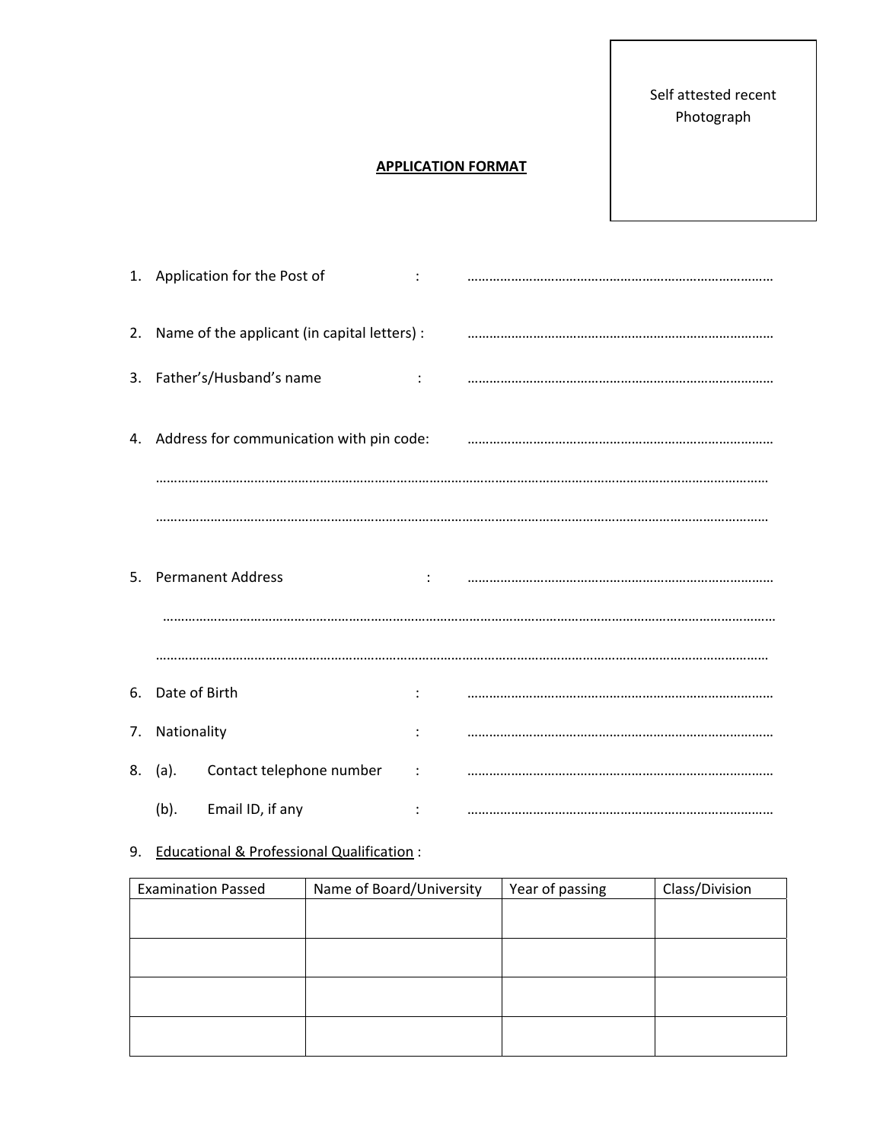Self attested recent Photograph

## **APPLICATION FORMAT**

|                  | 1. Application for the Post of                  |                      |  |
|------------------|-------------------------------------------------|----------------------|--|
|                  | 2. Name of the applicant (in capital letters) : |                      |  |
|                  | 3. Father's/Husband's name                      | $\ddot{\phantom{a}}$ |  |
|                  | 4. Address for communication with pin code:     |                      |  |
|                  |                                                 |                      |  |
|                  |                                                 |                      |  |
|                  | 5. Permanent Address                            |                      |  |
|                  |                                                 |                      |  |
|                  |                                                 |                      |  |
| 6. Date of Birth |                                                 | ÷                    |  |
| 7. Nationality   |                                                 |                      |  |
| 8. (a).          | Contact telephone number                        | ÷                    |  |
| (b).             | Email ID, if any                                |                      |  |

## 9. Educational & Professional Qualification :

| <b>Examination Passed</b> | Name of Board/University | Year of passing | Class/Division |
|---------------------------|--------------------------|-----------------|----------------|
|                           |                          |                 |                |
|                           |                          |                 |                |
|                           |                          |                 |                |
|                           |                          |                 |                |
|                           |                          |                 |                |
|                           |                          |                 |                |
|                           |                          |                 |                |
|                           |                          |                 |                |